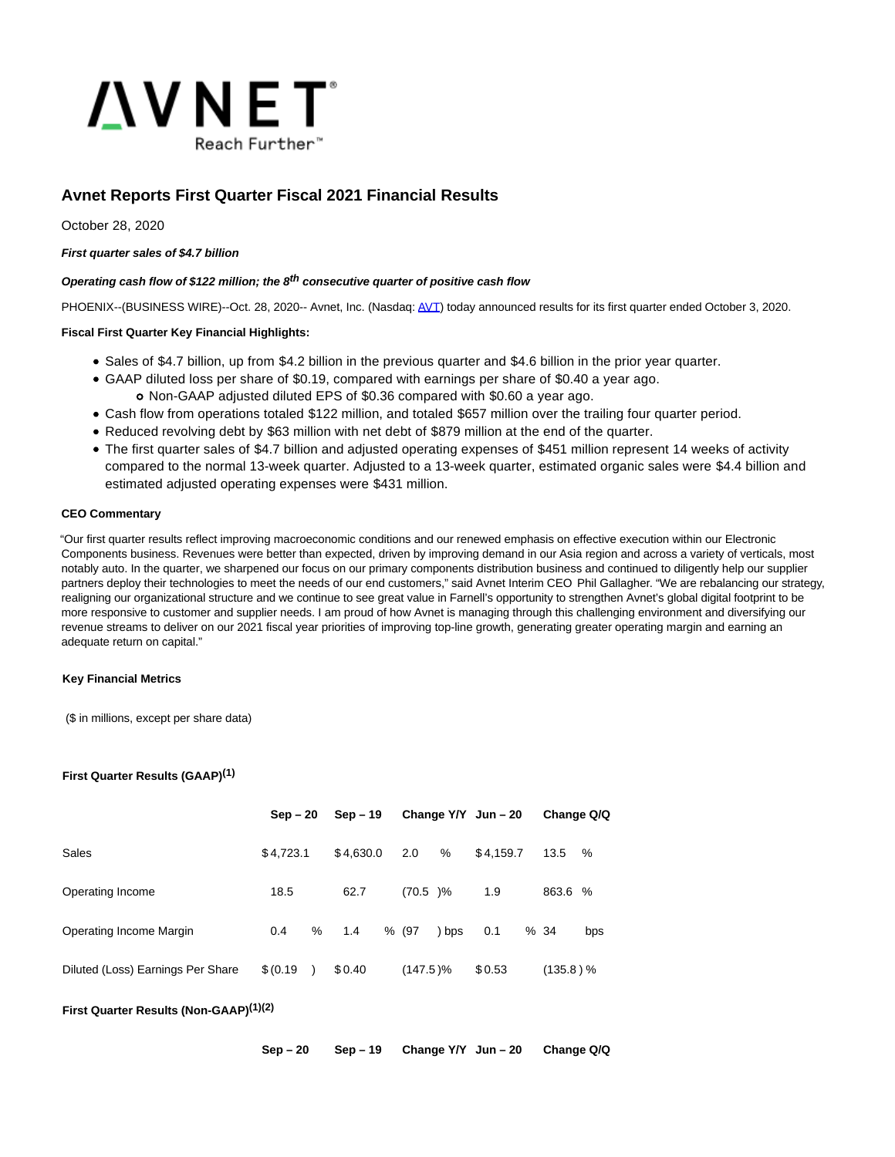

# **Avnet Reports First Quarter Fiscal 2021 Financial Results**

October 28, 2020

## **First quarter sales of \$4.7 billion**

# **Operating cash flow of \$122 million; the 8th consecutive quarter of positive cash flow**

PHOENIX--(BUSINESS WIRE)--Oct. 28, 2020-- Avnet, Inc. (Nasdaq[: AVT\)](https://cts.businesswire.com/ct/CT?id=smartlink&url=https%3A%2F%2Fir.avnet.com%2F&esheet=52315764&newsitemid=20201028005980&lan=en-US&anchor=AVT&index=1&md5=75d8830bf3bad729cddcdc2f56f10746) today announced results for its first quarter ended October 3, 2020.

## **Fiscal First Quarter Key Financial Highlights:**

- Sales of \$4.7 billion, up from \$4.2 billion in the previous quarter and \$4.6 billion in the prior year quarter.
- GAAP diluted loss per share of \$0.19, compared with earnings per share of \$0.40 a year ago.
	- Non-GAAP adjusted diluted EPS of \$0.36 compared with \$0.60 a year ago.
- Cash flow from operations totaled \$122 million, and totaled \$657 million over the trailing four quarter period. Reduced revolving debt by \$63 million with net debt of \$879 million at the end of the quarter.
- The first quarter sales of \$4.7 billion and adjusted operating expenses of \$451 million represent 14 weeks of activity compared to the normal 13-week quarter. Adjusted to a 13-week quarter, estimated organic sales were \$4.4 billion and estimated adjusted operating expenses were \$431 million.

## **CEO Commentary**

"Our first quarter results reflect improving macroeconomic conditions and our renewed emphasis on effective execution within our Electronic Components business. Revenues were better than expected, driven by improving demand in our Asia region and across a variety of verticals, most notably auto. In the quarter, we sharpened our focus on our primary components distribution business and continued to diligently help our supplier partners deploy their technologies to meet the needs of our end customers," said Avnet Interim CEO Phil Gallagher. "We are rebalancing our strategy, realigning our organizational structure and we continue to see great value in Farnell's opportunity to strengthen Avnet's global digital footprint to be more responsive to customer and supplier needs. I am proud of how Avnet is managing through this challenging environment and diversifying our revenue streams to deliver on our 2021 fiscal year priorities of improving top-line growth, generating greater operating margin and earning an adequate return on capital."

### **Key Financial Metrics**

(\$ in millions, except per share data)

### **First Quarter Results (GAAP)(1)**

|                                   | $Sep-20$  |               | $Sep-19$  |             |       | Change $Y/Y$ Jun - 20 | Change Q/Q  |     |
|-----------------------------------|-----------|---------------|-----------|-------------|-------|-----------------------|-------------|-----|
| Sales                             | \$4.723.1 |               | \$4,630.0 | 2.0         | %     | \$4.159.7             | 13.5        | %   |
| Operating Income                  | 18.5      |               | 62.7      | $(70.5)$ %  |       | 1.9                   | 863.6 %     |     |
| Operating Income Margin           | 0.4       | %             | 1.4       | % (97       | ) bps | 0.1                   | %34         | bps |
| Diluted (Loss) Earnings Per Share | \$ (0.19) | $\rightarrow$ | \$0.40    | $(147.5)\%$ |       | \$0.53                | $(135.8)$ % |     |

### **First Quarter Results (Non-GAAP)(1)(2)**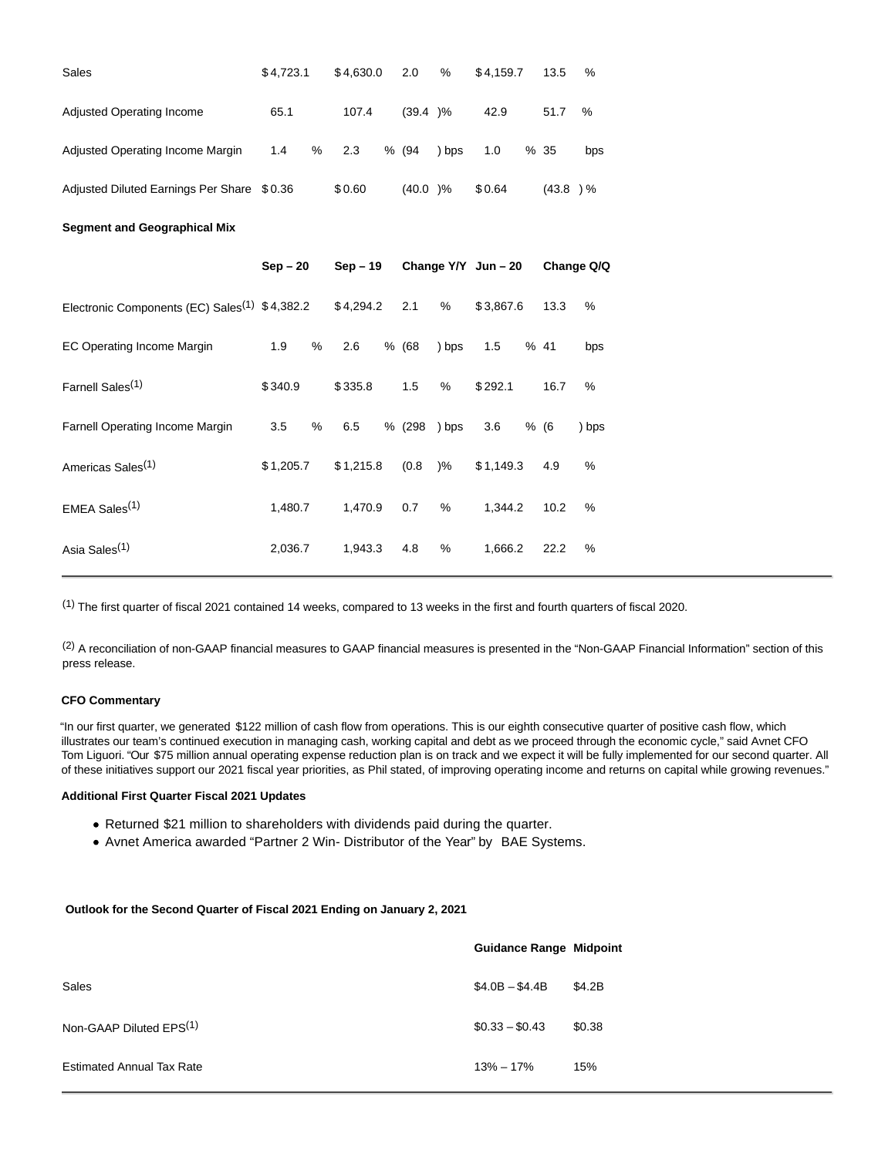| Sales                                                                 | \$4,723.1 |   | \$4,630.0 | 2.0        | $\%$          | \$4,159.7           | 13.5       | %          |
|-----------------------------------------------------------------------|-----------|---|-----------|------------|---------------|---------------------|------------|------------|
| <b>Adjusted Operating Income</b>                                      | 65.1      |   | 107.4     | (39.4)%    |               | 42.9                | 51.7       | %          |
| Adjusted Operating Income Margin                                      | 1.4       | % | 2.3       | % (94      | ) bps         | 1.0                 | %35        | bps        |
| Adjusted Diluted Earnings Per Share \$0.36                            |           |   | \$0.60    | $(40.0)$ % |               | \$0.64              | $(43.8)$ % |            |
| <b>Segment and Geographical Mix</b>                                   |           |   |           |            |               |                     |            |            |
|                                                                       | $Sep-20$  |   | $Sep-19$  |            |               | Change Y/Y Jun - 20 |            | Change Q/Q |
| Electronic Components (EC) Sales <sup>(1)</sup> $$4,382.2$ $$4,294.2$ |           |   |           | 2.1        | %             | \$3,867.6           | 13.3       | %          |
| <b>EC Operating Income Margin</b>                                     | 1.9       | % | 2.6       | % (68      | ) bps         | 1.5                 | % 41       | bps        |
| Farnell Sales <sup>(1)</sup>                                          | \$340.9   |   | \$335.8   | 1.5        | %             | \$292.1             | 16.7       | %          |
| Farnell Operating Income Margin                                       | 3.5       | % | 6.5       | % (298     | ) bps         | 3.6                 | % (6)      | ) bps      |
| Americas Sales <sup>(1)</sup>                                         | \$1,205.7 |   | \$1,215.8 | (0.8)      | $\frac{9}{6}$ | \$1,149.3           | 4.9        | $\%$       |
| EMEA Sales <sup>(1)</sup>                                             | 1,480.7   |   | 1,470.9   | 0.7        | %             | 1,344.2             | 10.2       | %          |
| Asia Sales <sup>(1)</sup>                                             | 2,036.7   |   | 1,943.3   | 4.8        | %             | 1,666.2             | 22.2       | %          |

(1) The first quarter of fiscal 2021 contained 14 weeks, compared to 13 weeks in the first and fourth quarters of fiscal 2020.

<sup>(2)</sup> A reconciliation of non-GAAP financial measures to GAAP financial measures is presented in the "Non-GAAP Financial Information" section of this press release.

#### **CFO Commentary**

"In our first quarter, we generated \$122 million of cash flow from operations. This is our eighth consecutive quarter of positive cash flow, which illustrates our team's continued execution in managing cash, working capital and debt as we proceed through the economic cycle," said Avnet CFO Tom Liguori. "Our \$75 million annual operating expense reduction plan is on track and we expect it will be fully implemented for our second quarter. All of these initiatives support our 2021 fiscal year priorities, as Phil stated, of improving operating income and returns on capital while growing revenues."

# **Additional First Quarter Fiscal 2021 Updates**

- Returned \$21 million to shareholders with dividends paid during the quarter.
- Avnet America awarded "Partner 2 Win- Distributor of the Year" by BAE Systems.

### **Outlook for the Second Quarter of Fiscal 2021 Ending on January 2, 2021**

|                                  | <b>Guidance Range Midpoint</b> |        |
|----------------------------------|--------------------------------|--------|
| Sales                            | $$4.0B - $4.4B$                | \$4.2B |
| Non-GAAP Diluted $EPS(1)$        | $$0.33 - $0.43$                | \$0.38 |
| <b>Estimated Annual Tax Rate</b> | $13\% - 17\%$                  | 15%    |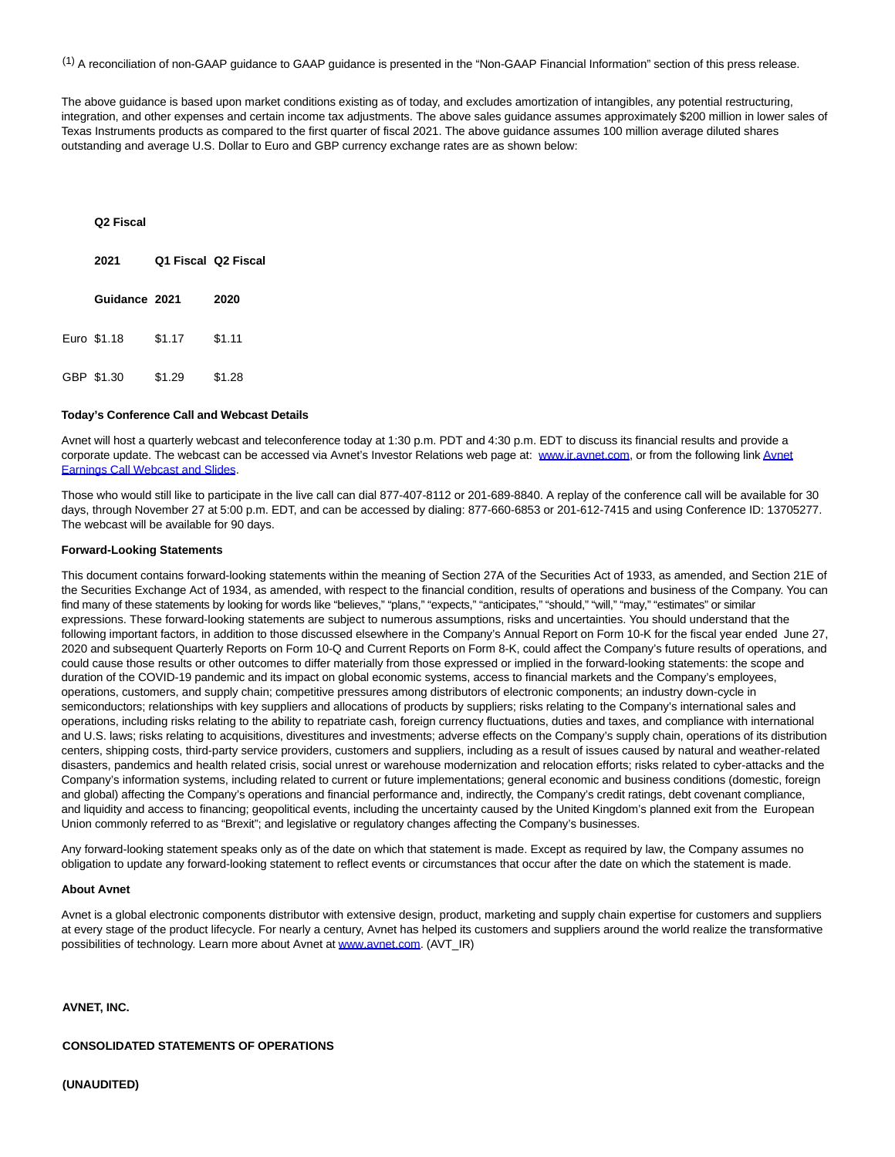(1) A reconciliation of non-GAAP guidance to GAAP guidance is presented in the "Non-GAAP Financial Information" section of this press release.

The above guidance is based upon market conditions existing as of today, and excludes amortization of intangibles, any potential restructuring, integration, and other expenses and certain income tax adjustments. The above sales guidance assumes approximately \$200 million in lower sales of Texas Instruments products as compared to the first quarter of fiscal 2021. The above guidance assumes 100 million average diluted shares outstanding and average U.S. Dollar to Euro and GBP currency exchange rates are as shown below:

#### **Q2 Fiscal**

| 2021          | Q1 Fiscal Q2 Fiscal |        |
|---------------|---------------------|--------|
| Guidance 2021 |                     | 2020   |
| Euro \$1.18   | \$1.17              | \$1.11 |
| GBP \$1.30    | \$1.29              | \$1.28 |

#### **Today's Conference Call and Webcast Details**

Avnet will host a quarterly webcast and teleconference today at 1:30 p.m. PDT and 4:30 p.m. EDT to discuss its financial results and provide a corporate update. The webcast can be accessed via Avnet's Investor Relations web page at: [www.ir.avnet.com,](https://ir.avnet.com/events/event-details/first-quarter-fiscal-year-2021-earnings) or from the following lin[k Avnet](https://cts.businesswire.com/ct/CT?id=smartlink&url=https%3A%2F%2Fveracast.com%2Fwebcasts%2Favt%2Fearnings%2F931007385.cfm&esheet=52315764&newsitemid=20201028005980&lan=en-US&anchor=Avnet+Earnings+Call+Webcast+and+Slides&index=3&md5=58b820cdf64e62046fd3ed1075a45b67) Earnings Call Webcast and Slides.

Those who would still like to participate in the live call can dial 877-407-8112 or 201-689-8840. A replay of the conference call will be available for 30 days, through November 27 at 5:00 p.m. EDT, and can be accessed by dialing: 877-660-6853 or 201-612-7415 and using Conference ID: 13705277. The webcast will be available for 90 days.

#### **Forward-Looking Statements**

This document contains forward-looking statements within the meaning of Section 27A of the Securities Act of 1933, as amended, and Section 21E of the Securities Exchange Act of 1934, as amended, with respect to the financial condition, results of operations and business of the Company. You can find many of these statements by looking for words like "believes," "plans," "expects," "anticipates," "should," "will," "may," "estimates" or similar expressions. These forward-looking statements are subject to numerous assumptions, risks and uncertainties. You should understand that the following important factors, in addition to those discussed elsewhere in the Company's Annual Report on Form 10-K for the fiscal year ended June 27, 2020 and subsequent Quarterly Reports on Form 10-Q and Current Reports on Form 8-K, could affect the Company's future results of operations, and could cause those results or other outcomes to differ materially from those expressed or implied in the forward-looking statements: the scope and duration of the COVID-19 pandemic and its impact on global economic systems, access to financial markets and the Company's employees, operations, customers, and supply chain; competitive pressures among distributors of electronic components; an industry down-cycle in semiconductors; relationships with key suppliers and allocations of products by suppliers; risks relating to the Company's international sales and operations, including risks relating to the ability to repatriate cash, foreign currency fluctuations, duties and taxes, and compliance with international and U.S. laws; risks relating to acquisitions, divestitures and investments; adverse effects on the Company's supply chain, operations of its distribution centers, shipping costs, third-party service providers, customers and suppliers, including as a result of issues caused by natural and weather-related disasters, pandemics and health related crisis, social unrest or warehouse modernization and relocation efforts; risks related to cyber-attacks and the Company's information systems, including related to current or future implementations; general economic and business conditions (domestic, foreign and global) affecting the Company's operations and financial performance and, indirectly, the Company's credit ratings, debt covenant compliance, and liquidity and access to financing; geopolitical events, including the uncertainty caused by the United Kingdom's planned exit from the European Union commonly referred to as "Brexit"; and legislative or regulatory changes affecting the Company's businesses.

Any forward-looking statement speaks only as of the date on which that statement is made. Except as required by law, the Company assumes no obligation to update any forward-looking statement to reflect events or circumstances that occur after the date on which the statement is made.

#### **About Avnet**

Avnet is a global electronic components distributor with extensive design, product, marketing and supply chain expertise for customers and suppliers at every stage of the product lifecycle. For nearly a century, Avnet has helped its customers and suppliers around the world realize the transformative possibilities of technology. Learn more about Avnet at [www.avnet.com.](https://cts.businesswire.com/ct/CT?id=smartlink&url=http%3A%2F%2Fwww.avnet.com&esheet=52315764&newsitemid=20201028005980&lan=en-US&anchor=www.avnet.com&index=4&md5=c814c7dcad524c6b10b5a02a1f83bf50) (AVT\_IR)

#### **AVNET, INC.**

#### **CONSOLIDATED STATEMENTS OF OPERATIONS**

**(UNAUDITED)**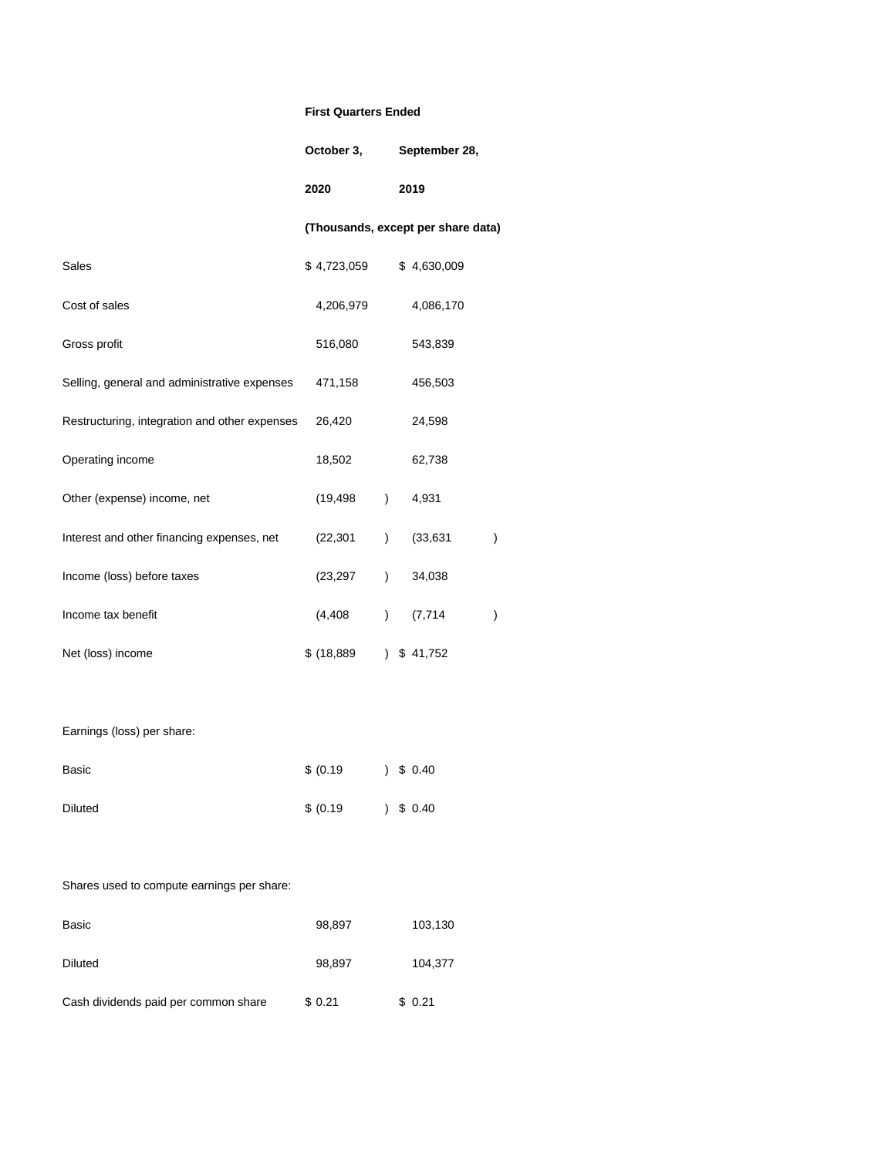# **First Quarters Ended**

| October 3, |  | September 28, |  |
|------------|--|---------------|--|
|------------|--|---------------|--|

**2020 2019**

# **(Thousands, except per share data)**

| Sales                                         | \$4,723,059 |               | \$4,630,009 |   |
|-----------------------------------------------|-------------|---------------|-------------|---|
| Cost of sales                                 | 4,206,979   |               | 4,086,170   |   |
| Gross profit                                  | 516,080     |               | 543,839     |   |
| Selling, general and administrative expenses  | 471,158     |               | 456,503     |   |
| Restructuring, integration and other expenses | 26,420      |               | 24,598      |   |
| Operating income                              | 18,502      |               | 62,738      |   |
| Other (expense) income, net                   | (19, 498)   | $\lambda$     | 4,931       |   |
| Interest and other financing expenses, net    | (22, 301)   | $\lambda$     | (33, 631)   | ) |
| Income (loss) before taxes                    | (23, 297)   | $\lambda$     | 34,038      |   |
| Income tax benefit                            | (4, 408)    | $\lambda$     | (7, 714)    | ) |
| Net (loss) income                             | \$(18, 889) | $\mathcal{L}$ | \$41,752    |   |

# Earnings (loss) per share:

| Basic   | \$ (0.19) |  | 3, 5, 0.40 |
|---------|-----------|--|------------|
| Diluted | \$ (0.19) |  | 3, 5, 0.40 |

# Shares used to compute earnings per share:

| Basic                                | 98,897 | 103,130 |
|--------------------------------------|--------|---------|
| Diluted                              | 98,897 | 104,377 |
| Cash dividends paid per common share | \$0.21 | \$0.21  |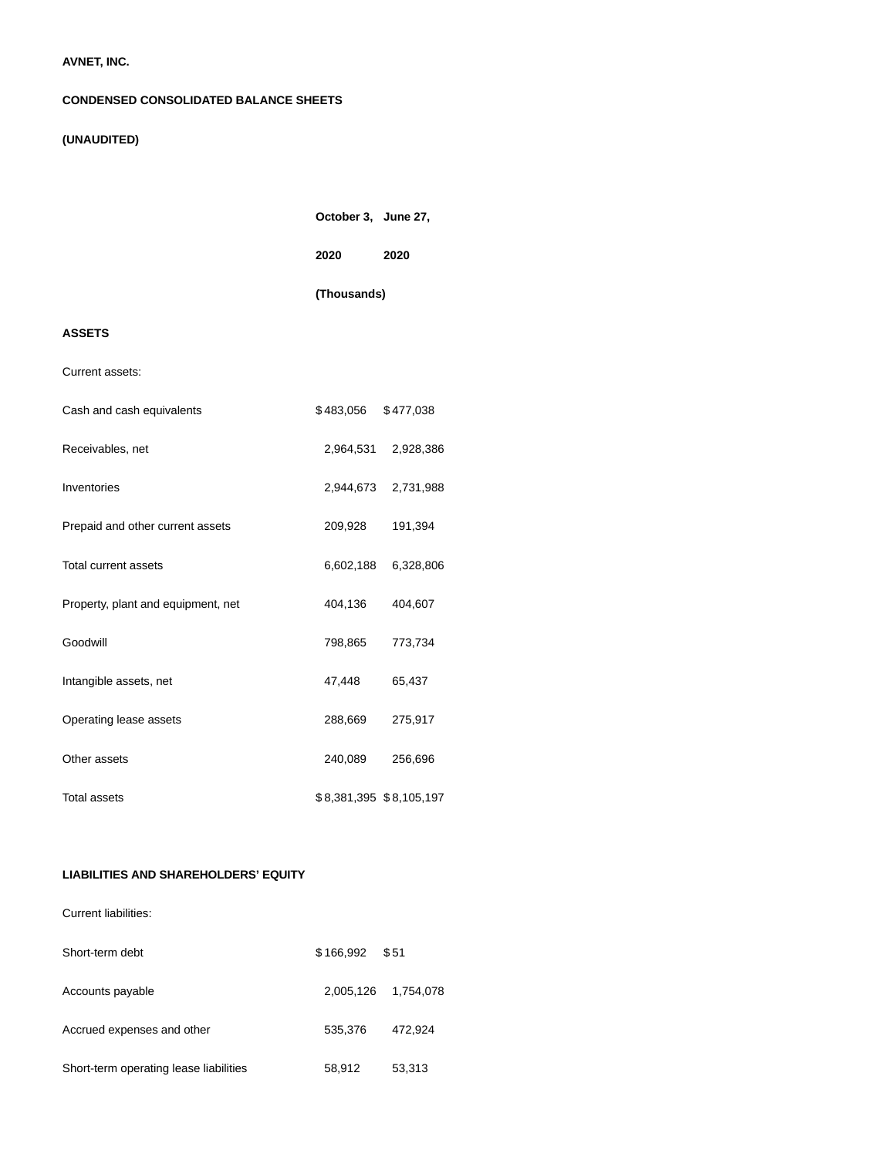# **AVNET, INC.**

## **CONDENSED CONSOLIDATED BALANCE SHEETS**

# **(UNAUDITED)**

|                                    | October 3, June 27, |                         |
|------------------------------------|---------------------|-------------------------|
|                                    | 2020                | 2020                    |
|                                    | (Thousands)         |                         |
| <b>ASSETS</b>                      |                     |                         |
| Current assets:                    |                     |                         |
| Cash and cash equivalents          | \$483,056           | \$477,038               |
| Receivables, net                   |                     | 2,964,531 2,928,386     |
| Inventories                        |                     | 2,944,673 2,731,988     |
| Prepaid and other current assets   | 209,928             | 191,394                 |
| Total current assets               | 6,602,188           | 6,328,806               |
| Property, plant and equipment, net | 404,136             | 404,607                 |
| Goodwill                           | 798,865             | 773,734                 |
| Intangible assets, net             | 47,448              | 65,437                  |
| Operating lease assets             | 288,669             | 275,917                 |
| Other assets                       | 240,089             | 256,696                 |
| <b>Total assets</b>                |                     | \$8,381,395 \$8,105,197 |

# **LIABILITIES AND SHAREHOLDERS' EQUITY**

Current liabilities:

| Short-term debt                        | \$166.992 | \$51      |
|----------------------------------------|-----------|-----------|
| Accounts payable                       | 2,005,126 | 1,754,078 |
| Accrued expenses and other             | 535,376   | 472,924   |
| Short-term operating lease liabilities | 58,912    | 53,313    |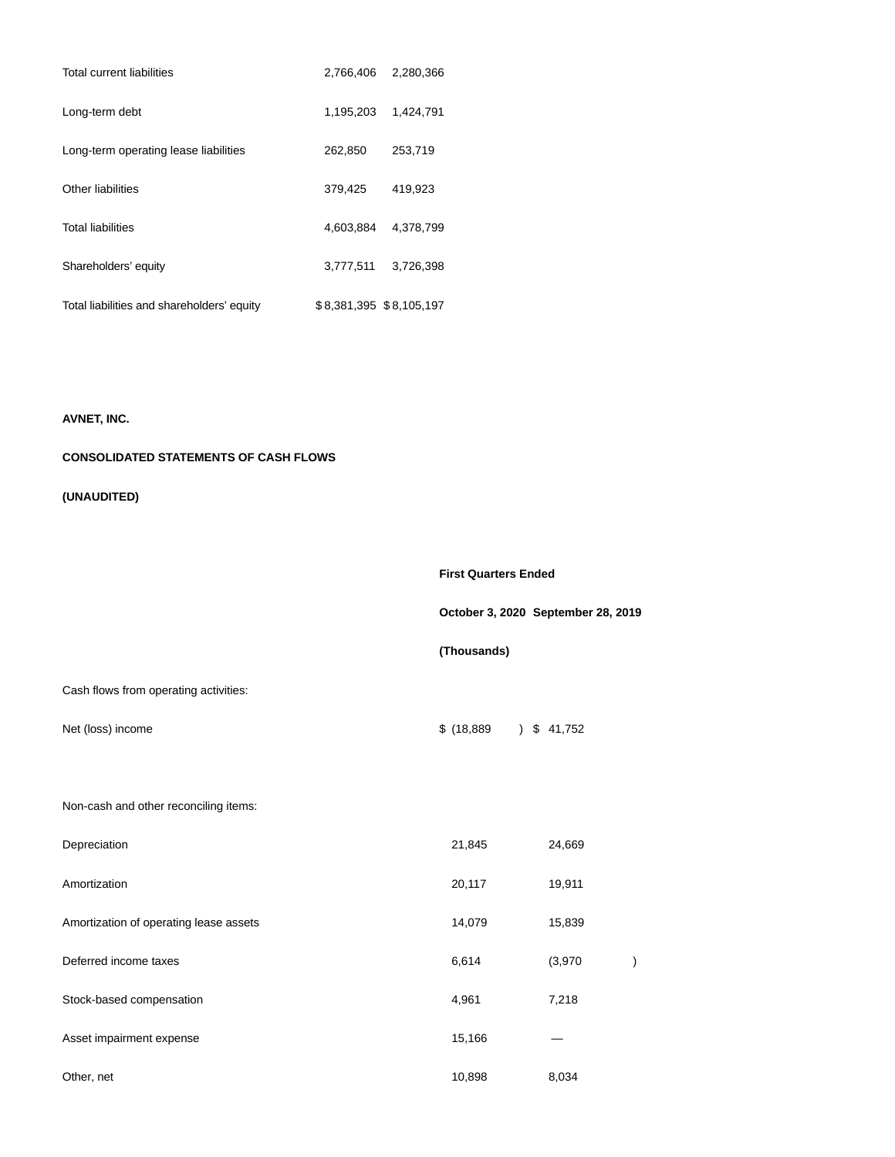| <b>Total current liabilities</b>           | 2,766,406               | 2,280,366 |
|--------------------------------------------|-------------------------|-----------|
| Long-term debt                             | 1.195.203               | 1.424.791 |
| Long-term operating lease liabilities      | 262,850                 | 253,719   |
| Other liabilities                          | 379,425                 | 419,923   |
| <b>Total liabilities</b>                   | 4,603,884               | 4.378.799 |
| Shareholders' equity                       | 3,777,511               | 3,726,398 |
| Total liabilities and shareholders' equity | \$8,381,395 \$8,105,197 |           |

# **AVNET, INC.**

# **CONSOLIDATED STATEMENTS OF CASH FLOWS**

# **(UNAUDITED)**

|                                        | <b>First Quarters Ended</b> |                                    |  |  |
|----------------------------------------|-----------------------------|------------------------------------|--|--|
|                                        |                             | October 3, 2020 September 28, 2019 |  |  |
|                                        | (Thousands)                 |                                    |  |  |
| Cash flows from operating activities:  |                             |                                    |  |  |
| Net (loss) income                      | \$(18, 889)                 | $)$ \$ 41,752                      |  |  |
| Non-cash and other reconciling items:  |                             |                                    |  |  |
| Depreciation                           | 21,845                      | 24,669                             |  |  |
| Amortization                           | 20,117                      | 19,911                             |  |  |
| Amortization of operating lease assets | 14,079                      | 15,839                             |  |  |
| Deferred income taxes                  | 6,614                       | (3,970)                            |  |  |
| Stock-based compensation               | 4,961                       | 7,218                              |  |  |
| Asset impairment expense               | 15,166                      |                                    |  |  |
| Other, net                             | 10,898                      | 8,034                              |  |  |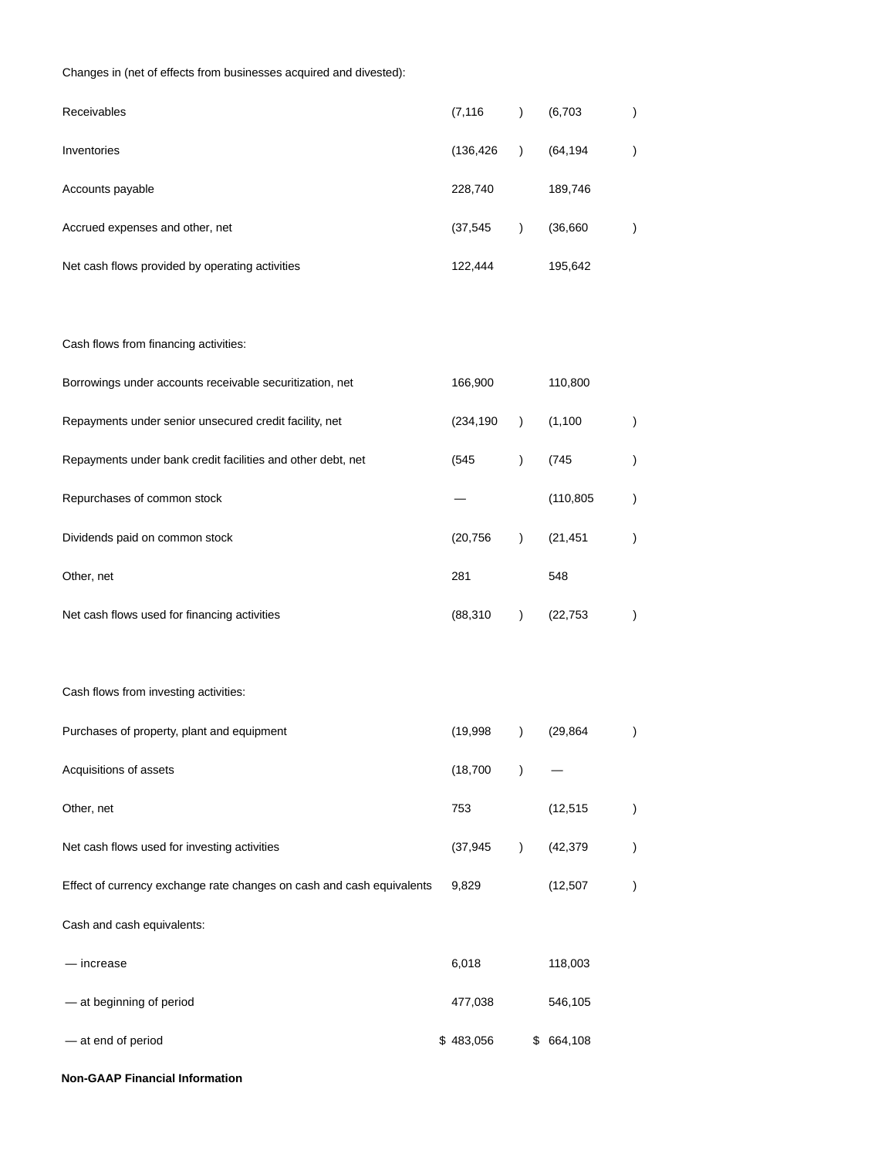# Changes in (net of effects from businesses acquired and divested):

| Receivables                                                           | (7, 116)   | $\lambda$     | (6,703)    | ) |
|-----------------------------------------------------------------------|------------|---------------|------------|---|
| Inventories                                                           | (136, 426) | $\lambda$     | (64, 194)  | ) |
| Accounts payable                                                      | 228,740    |               | 189,746    |   |
| Accrued expenses and other, net                                       | (37, 545)  | $\lambda$     | (36, 660)  | ) |
| Net cash flows provided by operating activities                       | 122,444    |               | 195,642    |   |
|                                                                       |            |               |            |   |
| Cash flows from financing activities:                                 |            |               |            |   |
| Borrowings under accounts receivable securitization, net              | 166,900    |               | 110,800    |   |
| Repayments under senior unsecured credit facility, net                | (234, 190) | $\mathcal{L}$ | (1,100)    | ) |
| Repayments under bank credit facilities and other debt, net           | (545)      | $\mathcal{L}$ | (745)      |   |
| Repurchases of common stock                                           |            |               | (110, 805) |   |
| Dividends paid on common stock                                        | (20, 756)  | $\lambda$     | (21, 451)  | ) |
| Other, net                                                            | 281        |               | 548        |   |
| Net cash flows used for financing activities                          | (88, 310)  | $\lambda$     | (22, 753)  | ) |
|                                                                       |            |               |            |   |
| Cash flows from investing activities:                                 |            |               |            |   |
| Purchases of property, plant and equipment                            | (19, 998)  | $\lambda$     | (29, 864)  | ) |
| Acquisitions of assets                                                | (18, 700)  | $\lambda$     |            |   |
| Other, net                                                            | 753        |               | (12, 515)  | ) |
| Net cash flows used for investing activities                          | (37, 945)  | $\lambda$     | (42, 379)  |   |
| Effect of currency exchange rate changes on cash and cash equivalents | 9,829      |               | (12, 507)  |   |
| Cash and cash equivalents:                                            |            |               |            |   |
| - increase                                                            | 6,018      |               | 118,003    |   |
| - at beginning of period                                              | 477,038    |               | 546,105    |   |
| - at end of period                                                    | \$483,056  |               | \$664,108  |   |

**Non-GAAP Financial Information**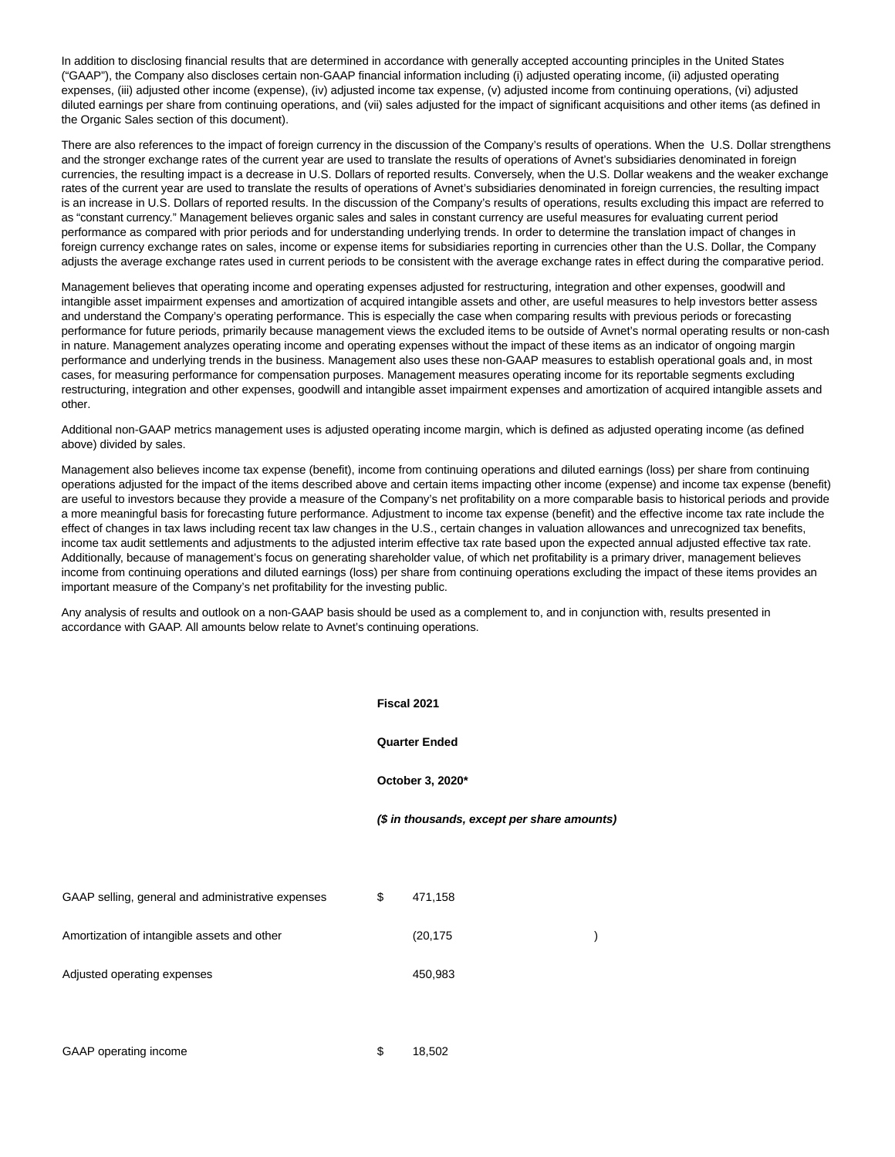In addition to disclosing financial results that are determined in accordance with generally accepted accounting principles in the United States ("GAAP"), the Company also discloses certain non-GAAP financial information including (i) adjusted operating income, (ii) adjusted operating expenses, (iii) adjusted other income (expense), (iv) adjusted income tax expense, (v) adjusted income from continuing operations, (vi) adjusted diluted earnings per share from continuing operations, and (vii) sales adjusted for the impact of significant acquisitions and other items (as defined in the Organic Sales section of this document).

There are also references to the impact of foreign currency in the discussion of the Company's results of operations. When the U.S. Dollar strengthens and the stronger exchange rates of the current year are used to translate the results of operations of Avnet's subsidiaries denominated in foreign currencies, the resulting impact is a decrease in U.S. Dollars of reported results. Conversely, when the U.S. Dollar weakens and the weaker exchange rates of the current year are used to translate the results of operations of Avnet's subsidiaries denominated in foreign currencies, the resulting impact is an increase in U.S. Dollars of reported results. In the discussion of the Company's results of operations, results excluding this impact are referred to as "constant currency." Management believes organic sales and sales in constant currency are useful measures for evaluating current period performance as compared with prior periods and for understanding underlying trends. In order to determine the translation impact of changes in foreign currency exchange rates on sales, income or expense items for subsidiaries reporting in currencies other than the U.S. Dollar, the Company adjusts the average exchange rates used in current periods to be consistent with the average exchange rates in effect during the comparative period.

Management believes that operating income and operating expenses adjusted for restructuring, integration and other expenses, goodwill and intangible asset impairment expenses and amortization of acquired intangible assets and other, are useful measures to help investors better assess and understand the Company's operating performance. This is especially the case when comparing results with previous periods or forecasting performance for future periods, primarily because management views the excluded items to be outside of Avnet's normal operating results or non-cash in nature. Management analyzes operating income and operating expenses without the impact of these items as an indicator of ongoing margin performance and underlying trends in the business. Management also uses these non-GAAP measures to establish operational goals and, in most cases, for measuring performance for compensation purposes. Management measures operating income for its reportable segments excluding restructuring, integration and other expenses, goodwill and intangible asset impairment expenses and amortization of acquired intangible assets and other.

Additional non-GAAP metrics management uses is adjusted operating income margin, which is defined as adjusted operating income (as defined above) divided by sales.

Management also believes income tax expense (benefit), income from continuing operations and diluted earnings (loss) per share from continuing operations adjusted for the impact of the items described above and certain items impacting other income (expense) and income tax expense (benefit) are useful to investors because they provide a measure of the Company's net profitability on a more comparable basis to historical periods and provide a more meaningful basis for forecasting future performance. Adjustment to income tax expense (benefit) and the effective income tax rate include the effect of changes in tax laws including recent tax law changes in the U.S., certain changes in valuation allowances and unrecognized tax benefits, income tax audit settlements and adjustments to the adjusted interim effective tax rate based upon the expected annual adjusted effective tax rate. Additionally, because of management's focus on generating shareholder value, of which net profitability is a primary driver, management believes income from continuing operations and diluted earnings (loss) per share from continuing operations excluding the impact of these items provides an important measure of the Company's net profitability for the investing public.

Any analysis of results and outlook on a non-GAAP basis should be used as a complement to, and in conjunction with, results presented in accordance with GAAP. All amounts below relate to Avnet's continuing operations.

|                                                   | Fiscal 2021<br><b>Quarter Ended</b><br>October 3, 2020* |           |  |  |  |  |  |
|---------------------------------------------------|---------------------------------------------------------|-----------|--|--|--|--|--|
|                                                   |                                                         |           |  |  |  |  |  |
|                                                   |                                                         |           |  |  |  |  |  |
|                                                   | (\$ in thousands, except per share amounts)             |           |  |  |  |  |  |
|                                                   |                                                         |           |  |  |  |  |  |
| GAAP selling, general and administrative expenses | \$                                                      | 471,158   |  |  |  |  |  |
| Amortization of intangible assets and other       |                                                         | (20, 175) |  |  |  |  |  |
| Adjusted operating expenses                       |                                                         | 450,983   |  |  |  |  |  |
|                                                   |                                                         |           |  |  |  |  |  |
|                                                   |                                                         |           |  |  |  |  |  |

GAAP operating income  $$ 18,502$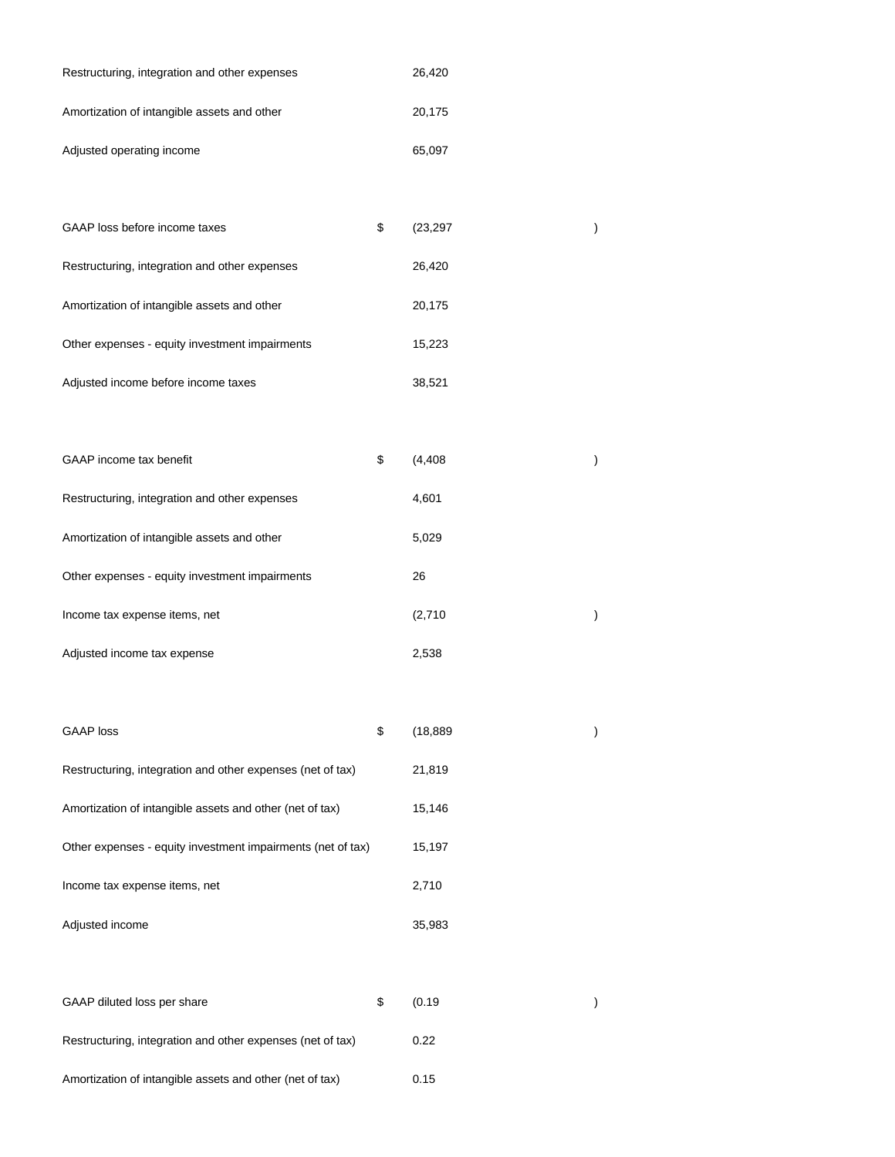| Restructuring, integration and other expenses | 26.420 |
|-----------------------------------------------|--------|
| Amortization of intangible assets and other   | 20.175 |
| Adjusted operating income                     | 65,097 |

| GAAP loss before income taxes                  | \$<br>(23, 297) |  |
|------------------------------------------------|-----------------|--|
| Restructuring, integration and other expenses  | 26,420          |  |
| Amortization of intangible assets and other    | 20,175          |  |
| Other expenses - equity investment impairments | 15,223          |  |
| Adjusted income before income taxes            | 38,521          |  |

| GAAP income tax benefit                        | \$<br>(4, 408) |  |
|------------------------------------------------|----------------|--|
| Restructuring, integration and other expenses  | 4,601          |  |
| Amortization of intangible assets and other    | 5,029          |  |
| Other expenses - equity investment impairments | 26             |  |
| Income tax expense items, net                  | (2,710)        |  |
| Adjusted income tax expense                    | 2.538          |  |

| <b>GAAP</b> loss                                            | \$     | (18, 889) |  |
|-------------------------------------------------------------|--------|-----------|--|
| Restructuring, integration and other expenses (net of tax)  |        | 21,819    |  |
| Amortization of intangible assets and other (net of tax)    | 15,146 |           |  |
| Other expenses - equity investment impairments (net of tax) | 15,197 |           |  |
| Income tax expense items, net                               |        | 2,710     |  |
| Adjusted income                                             |        | 35,983    |  |

| GAAP diluted loss per share                                | S | (0.19) |  |
|------------------------------------------------------------|---|--------|--|
| Restructuring, integration and other expenses (net of tax) |   | 0.22   |  |
| Amortization of intangible assets and other (net of tax)   |   | 0.15   |  |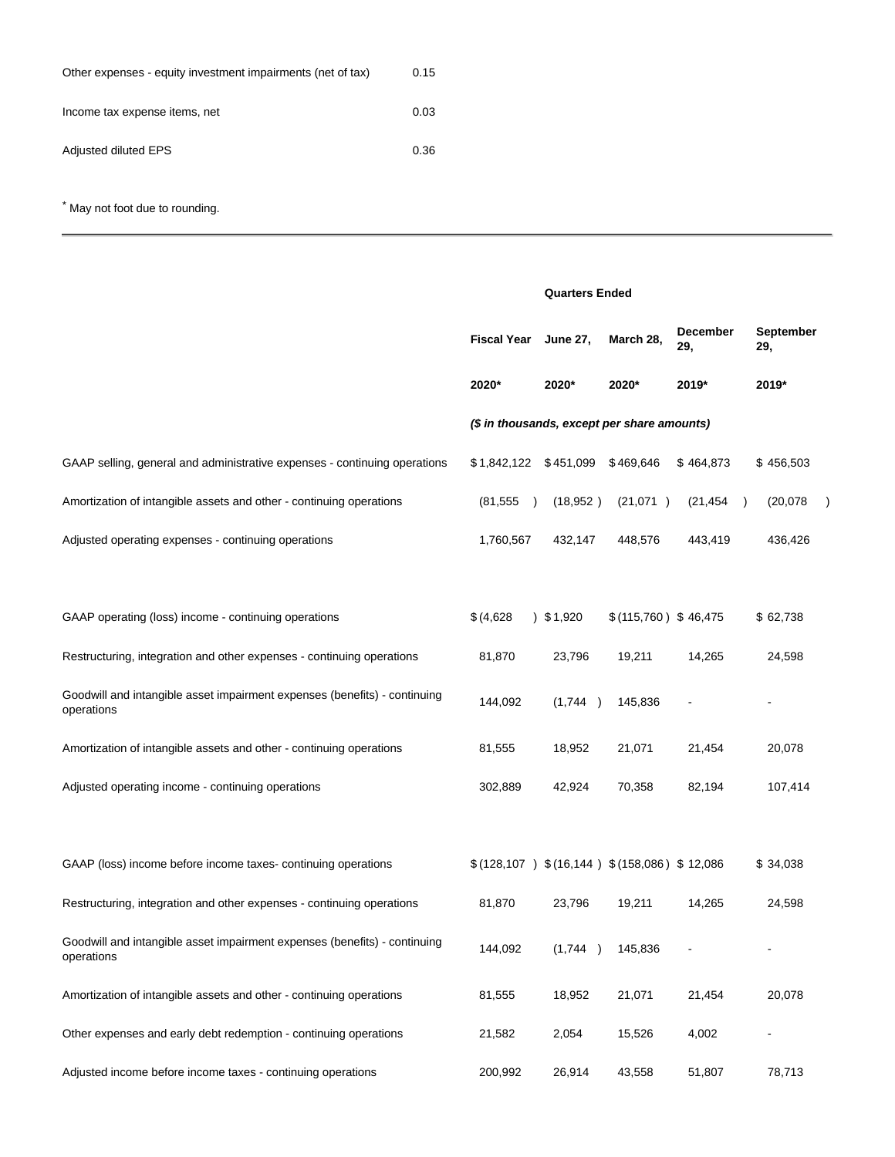| Other expenses - equity investment impairments (net of tax) | 0.15 |
|-------------------------------------------------------------|------|
| Income tax expense items, net                               | 0.03 |
| Adjusted diluted EPS                                        | 0.36 |

\* May not foot due to rounding.

|                                                                                         |                                                    | <b>Quarters Ended</b> |                      |                        |                           |  |  |
|-----------------------------------------------------------------------------------------|----------------------------------------------------|-----------------------|----------------------|------------------------|---------------------------|--|--|
|                                                                                         | <b>Fiscal Year</b><br><b>June 27,</b>              |                       | March 28,            | <b>December</b><br>29, | September<br>29,          |  |  |
|                                                                                         | 2020*                                              | 2020*                 | 2020*                | 2019*                  | 2019*                     |  |  |
|                                                                                         | (\$ in thousands, except per share amounts)        |                       |                      |                        |                           |  |  |
| GAAP selling, general and administrative expenses - continuing operations               | $$1,842,122$ $$451,099$                            |                       | \$469,646            | \$464,873              | \$456,503                 |  |  |
| Amortization of intangible assets and other - continuing operations                     | (81, 555)<br>$\rightarrow$                         | (18, 952)             | (21,071)             | (21, 454)              | (20,078)<br>$\rightarrow$ |  |  |
| Adjusted operating expenses - continuing operations                                     | 1,760,567                                          | 432,147               | 448,576              | 443,419                | 436,426                   |  |  |
|                                                                                         |                                                    |                       |                      |                        |                           |  |  |
| GAAP operating (loss) income - continuing operations                                    | \$ (4,628)                                         | 3, 51, 920            | \$(115,760) \$46,475 |                        | \$62,738                  |  |  |
| Restructuring, integration and other expenses - continuing operations                   | 81,870                                             | 23,796                | 19,211               | 14,265                 | 24,598                    |  |  |
| Goodwill and intangible asset impairment expenses (benefits) - continuing<br>operations | 144,092                                            | (1,744)               | 145,836              |                        |                           |  |  |
| Amortization of intangible assets and other - continuing operations                     | 81,555                                             | 18,952                | 21,071               | 21,454                 | 20,078                    |  |  |
| Adjusted operating income - continuing operations                                       | 302,889                                            | 42,924                | 70,358               | 82,194                 | 107,414                   |  |  |
|                                                                                         |                                                    |                       |                      |                        |                           |  |  |
| GAAP (loss) income before income taxes-continuing operations                            | $$(128,107)$ $$(16,144)$ $$(158,086)$ $$(128,107)$ |                       |                      |                        | \$34,038                  |  |  |
| Restructuring, integration and other expenses - continuing operations                   | 81,870                                             | 23,796                | 19,211               | 14,265                 | 24,598                    |  |  |
| Goodwill and intangible asset impairment expenses (benefits) - continuing<br>operations | 144,092                                            | (1,744)               | 145,836              |                        |                           |  |  |
| Amortization of intangible assets and other - continuing operations                     | 81,555                                             | 18,952                | 21,071               | 21,454                 | 20,078                    |  |  |
| Other expenses and early debt redemption - continuing operations                        | 21,582                                             | 2,054                 | 15,526               | 4,002                  |                           |  |  |
| Adjusted income before income taxes - continuing operations                             | 200,992                                            | 26,914                | 43,558               | 51,807                 | 78,713                    |  |  |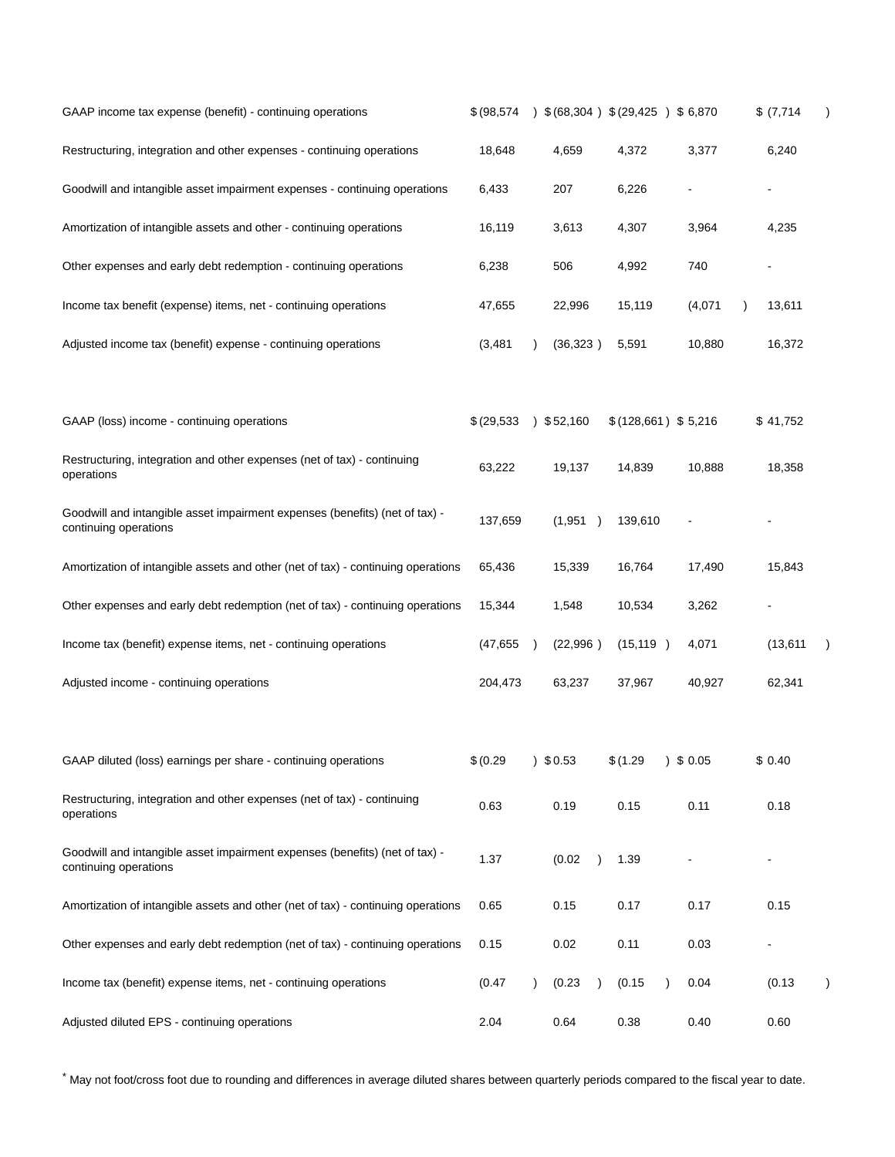| GAAP income tax expense (benefit) - continuing operations                                            | \$ (98, 574) |            |          |           | $(68,304)$ \$ (29,425) \$ 6,870 |           | \$ (7,714) |  |
|------------------------------------------------------------------------------------------------------|--------------|------------|----------|-----------|---------------------------------|-----------|------------|--|
| Restructuring, integration and other expenses - continuing operations                                | 18,648       | 4,659      | 4,372    |           | 3,377                           |           | 6,240      |  |
| Goodwill and intangible asset impairment expenses - continuing operations                            | 6,433        | 207        |          | 6,226     |                                 |           |            |  |
| Amortization of intangible assets and other - continuing operations                                  | 16,119       | 3,613      | 4,307    |           | 3,964                           |           | 4,235      |  |
| Other expenses and early debt redemption - continuing operations                                     | 6,238        | 506        |          | 4,992     | 740                             |           |            |  |
| Income tax benefit (expense) items, net - continuing operations                                      | 47,655       | 22,996     |          | 15,119    | (4,071)                         | $\lambda$ | 13,611     |  |
| Adjusted income tax (benefit) expense - continuing operations                                        | (3, 481)     | (36, 323)  | 5,591    |           | 10,880                          |           | 16,372     |  |
| GAAP (loss) income - continuing operations                                                           | \$ (29,533)  | 352,160    |          |           | \$(128,661) \$5,216             |           | \$41,752   |  |
| Restructuring, integration and other expenses (net of tax) - continuing<br>operations                | 63,222       | 19,137     |          | 14,839    | 10,888                          |           | 18,358     |  |
| Goodwill and intangible asset impairment expenses (benefits) (net of tax) -<br>continuing operations | 137,659      | (1,951)    |          | 139,610   |                                 |           |            |  |
| Amortization of intangible assets and other (net of tax) - continuing operations                     | 65,436       | 15,339     |          | 16,764    | 17,490                          |           | 15,843     |  |
| Other expenses and early debt redemption (net of tax) - continuing operations                        | 15,344       | 1,548      |          | 10,534    | 3,262                           |           |            |  |
| Income tax (benefit) expense items, net - continuing operations                                      | (47, 655)    | (22,996)   |          | (15, 119) | 4,071                           |           | (13,611)   |  |
| Adjusted income - continuing operations                                                              | 204,473      | 63,237     |          | 37,967    | 40,927                          |           | 62,341     |  |
| GAAP diluted (loss) earnings per share - continuing operations                                       | \$ (0.29)    | $)$ \$0.53 | \$(1.29) |           | $)$ \$ 0.05                     |           | \$0.40     |  |
| Restructuring, integration and other expenses (net of tax) - continuing<br>operations                | 0.63         | 0.19       | 0.15     |           | 0.11                            |           | 0.18       |  |
| Goodwill and intangible asset impairment expenses (benefits) (net of tax) -<br>continuing operations | 1.37         | (0.02)     | 1.39     |           |                                 |           |            |  |
| Amortization of intangible assets and other (net of tax) - continuing operations                     | 0.65         | 0.15       | 0.17     |           | 0.17                            |           | 0.15       |  |
| Other expenses and early debt redemption (net of tax) - continuing operations                        | 0.15         | 0.02       | 0.11     |           | 0.03                            |           |            |  |
| Income tax (benefit) expense items, net - continuing operations                                      | (0.47)       | (0.23)     | (0.15)   |           | 0.04                            |           | (0.13)     |  |
| Adjusted diluted EPS - continuing operations                                                         | 2.04         | 0.64       | 0.38     |           | 0.40                            |           | 0.60       |  |

\* May not foot/cross foot due to rounding and differences in average diluted shares between quarterly periods compared to the fiscal year to date.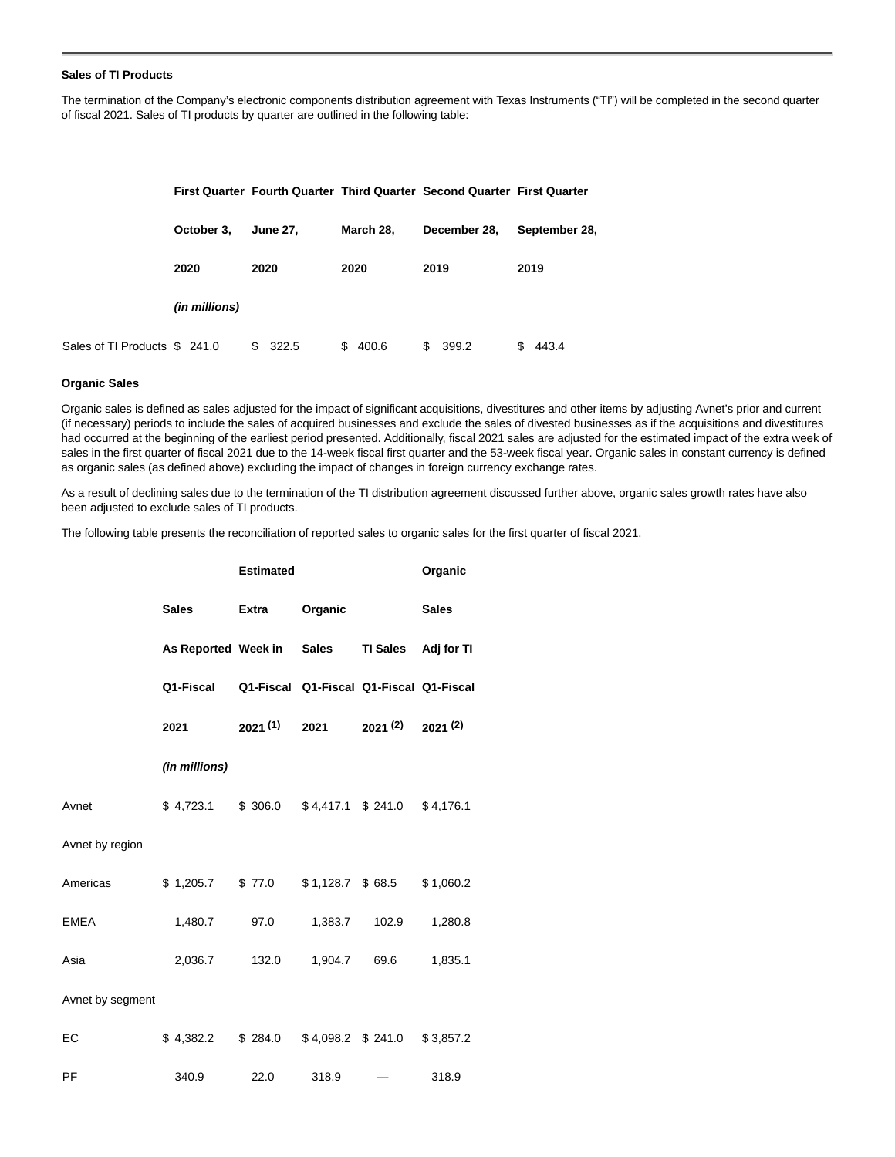# **Sales of TI Products**

The termination of the Company's electronic components distribution agreement with Texas Instruments ("TI") will be completed in the second quarter of fiscal 2021. Sales of TI products by quarter are outlined in the following table:

|                              |               |                 |              | First Quarter Fourth Quarter Third Quarter Second Quarter First Quarter |               |
|------------------------------|---------------|-----------------|--------------|-------------------------------------------------------------------------|---------------|
|                              | October 3,    | <b>June 27,</b> | March 28,    | December 28,                                                            | September 28, |
|                              | 2020          | 2020            | 2020         | 2019                                                                    | 2019          |
|                              | (in millions) |                 |              |                                                                         |               |
| Sales of TI Products \$241.0 |               | 322.5<br>S.     | \$.<br>400.6 | \$<br>399.2                                                             | 443.4<br>S    |

#### **Organic Sales**

Organic sales is defined as sales adjusted for the impact of significant acquisitions, divestitures and other items by adjusting Avnet's prior and current (if necessary) periods to include the sales of acquired businesses and exclude the sales of divested businesses as if the acquisitions and divestitures had occurred at the beginning of the earliest period presented. Additionally, fiscal 2021 sales are adjusted for the estimated impact of the extra week of sales in the first quarter of fiscal 2021 due to the 14-week fiscal first quarter and the 53-week fiscal year. Organic sales in constant currency is defined as organic sales (as defined above) excluding the impact of changes in foreign currency exchange rates.

As a result of declining sales due to the termination of the TI distribution agreement discussed further above, organic sales growth rates have also been adjusted to exclude sales of TI products.

The following table presents the reconciliation of reported sales to organic sales for the first quarter of fiscal 2021.

|                  |                     | <b>Estimated</b> |                                         |                     | Organic      |  |
|------------------|---------------------|------------------|-----------------------------------------|---------------------|--------------|--|
|                  | <b>Sales</b>        | <b>Extra</b>     | Organic                                 |                     | <b>Sales</b> |  |
|                  | As Reported Week in |                  | <b>Sales</b>                            | <b>TI Sales</b>     | Adj for TI   |  |
|                  | Q1-Fiscal           |                  | Q1-Fiscal Q1-Fiscal Q1-Fiscal Q1-Fiscal |                     |              |  |
|                  | 2021                | 2021(1)          | 2021                                    | 2021 (2)            | 2021(2)      |  |
|                  | (in millions)       |                  |                                         |                     |              |  |
| Avnet            | \$4,723.1           | \$ 306.0         |                                         | $$4,417.1$ $$241.0$ | \$4,176.1    |  |
| Avnet by region  |                     |                  |                                         |                     |              |  |
| Americas         | \$1,205.7           | \$77.0           | $$1,128.7$ $$68.5$                      |                     | \$1,060.2    |  |
| <b>EMEA</b>      | 1,480.7             | 97.0             | 1,383.7                                 | 102.9               | 1,280.8      |  |
| Asia             | 2,036.7             | 132.0            | 1,904.7                                 | 69.6                | 1,835.1      |  |
| Avnet by segment |                     |                  |                                         |                     |              |  |
| EC               | \$4,382.2           | \$284.0          |                                         | $$4,098.2$ $$241.0$ | \$3,857.2    |  |
| PF               | 340.9               | 22.0             | 318.9                                   |                     | 318.9        |  |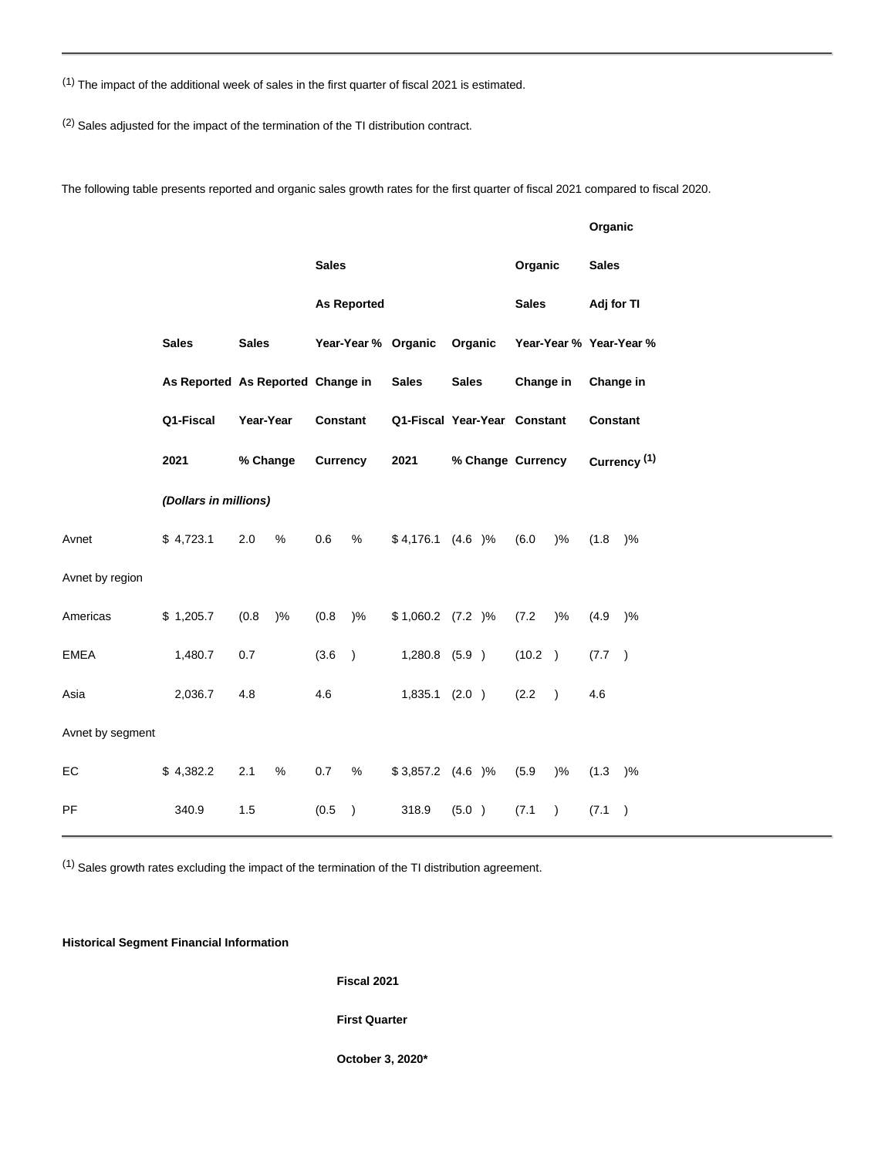$(1)$  The impact of the additional week of sales in the first quarter of fiscal 2021 is estimated.

(2) Sales adjusted for the impact of the termination of the TI distribution contract.

The following table presents reported and organic sales growth rates for the first quarter of fiscal 2021 compared to fiscal 2020.

|                       |              |                                                                            |       |                                                    |                    |                      |                                                                              |  |                                      |                  | Organic                                                 |               |
|-----------------------|--------------|----------------------------------------------------------------------------|-------|----------------------------------------------------|--------------------|----------------------|------------------------------------------------------------------------------|--|--------------------------------------|------------------|---------------------------------------------------------|---------------|
|                       |              |                                                                            |       | <b>Sales</b>                                       |                    |                      |                                                                              |  | Organic                              |                  | <b>Sales</b>                                            |               |
|                       |              |                                                                            |       |                                                    | <b>As Reported</b> |                      | <b>Sales</b>                                                                 |  | Adj for TI                           |                  |                                                         |               |
|                       | <b>Sales</b> | <b>Sales</b><br>As Reported As Reported Change in<br>Year-Year<br>% Change |       | Year-Year % Organic<br><b>Constant</b><br>Currency |                    |                      | Organic<br><b>Sales</b><br>Q1-Fiscal Year-Year Constant<br>% Change Currency |  | Year-Year % Year-Year %<br>Change in |                  | Change in<br><b>Constant</b><br>Currency <sup>(1)</sup> |               |
|                       |              |                                                                            |       |                                                    |                    | <b>Sales</b>         |                                                                              |  |                                      |                  |                                                         |               |
|                       | Q1-Fiscal    |                                                                            |       |                                                    |                    |                      |                                                                              |  |                                      |                  |                                                         |               |
|                       | 2021         |                                                                            |       |                                                    |                    | 2021                 |                                                                              |  |                                      |                  |                                                         |               |
| (Dollars in millions) |              |                                                                            |       |                                                    |                    |                      |                                                                              |  |                                      |                  |                                                         |               |
| Avnet                 | \$4,723.1    | 2.0                                                                        | %     | 0.6                                                | %                  | $$4,176.1$ $(4.6)$ % |                                                                              |  | (6.0)                                | $)\%$            | (1.8)                                                   | )%            |
| Avnet by region       |              |                                                                            |       |                                                    |                    |                      |                                                                              |  |                                      |                  |                                                         |               |
| Americas              | \$1,205.7    | (0.8)                                                                      | $)$ % | (0.8)                                              | $) \%$             | $$1,060.2$ (7.2)%    |                                                                              |  | (7.2)                                | $)\%$            | (4.9)                                                   | )%            |
| <b>EMEA</b>           | 1,480.7      | 0.7                                                                        |       | (3.6)                                              | $\lambda$          | 1,280.8 (5.9)        |                                                                              |  | (10.2)                               | $\lambda$        | (7.7)                                                   | $\rightarrow$ |
| Asia                  | 2,036.7      | 4.8                                                                        |       | 4.6                                                |                    | 1,835.1 (2.0)        |                                                                              |  | (2.2)                                | $\lambda$        | 4.6                                                     |               |
| Avnet by segment      |              |                                                                            |       |                                                    |                    |                      |                                                                              |  |                                      |                  |                                                         |               |
| EC                    | \$4,382.2    | 2.1                                                                        | %     | 0.7                                                | $\%$               | $$3,857.2$ (4.6)%    |                                                                              |  | (5.9)                                | $)\%$            | (1.3)                                                   | )%            |
| PF                    | 340.9        | 1.5                                                                        |       | (0.5)                                              | $\lambda$          | 318.9                | (5.0)                                                                        |  | (7.1)                                | $\left( \right)$ | (7.1)                                                   | $\lambda$     |

(1) Sales growth rates excluding the impact of the termination of the TI distribution agreement.

**Historical Segment Financial Information**

**Fiscal 2021**

### **First Quarter**

**October 3, 2020\***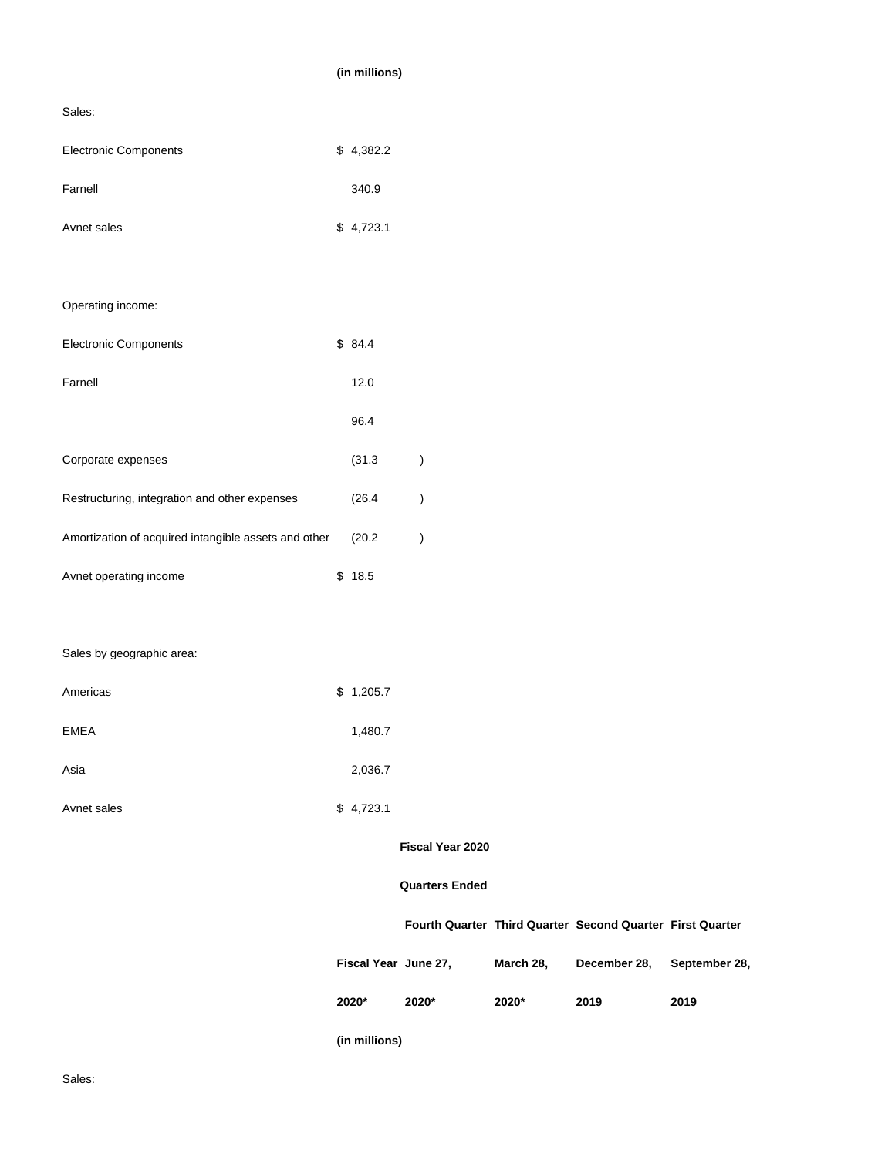# **(in millions)** Sales: Electronic Components  $$4,382.2$ Farnell 340.9 Avnet sales \$ 4,723.1 Operating income: Electronic Components  $$84.4$ Farnell 12.0 96.4 Corporate expenses (31.3 ) Restructuring, integration and other expenses (26.4 ) Amortization of acquired intangible assets and other (20.2 ) Avnet operating income \$ 18.5 Sales by geographic area: Americas \$ 1,205.7 EMEA 1,480.7 Asia 2,036.7 Avnet sales \$ 4,723.1 **Fiscal Year 2020 Quarters Ended Fourth Quarter Third Quarter Second Quarter First Quarter Fiscal Year June 27, March 28, December 28, September 28,**

**(in millions)**

**2020\* 2020\* 2020\* 2019 2019**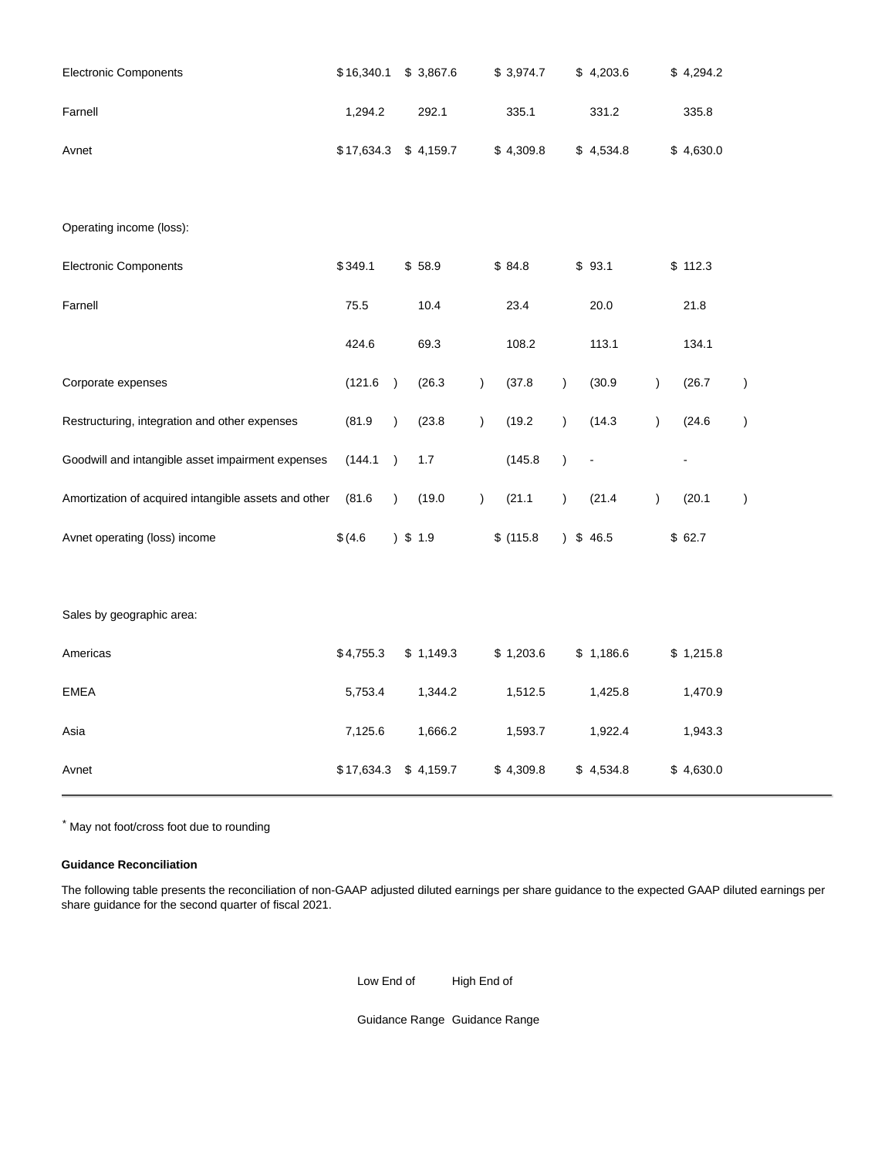| <b>Electronic Components</b>                         | \$16,340.1 |               | \$3,867.6  |           | \$3,974.7 |               | \$4,203.6   |               | \$4,294.2 |               |
|------------------------------------------------------|------------|---------------|------------|-----------|-----------|---------------|-------------|---------------|-----------|---------------|
| Farnell                                              | 1,294.2    |               | 292.1      |           | 335.1     |               | 331.2       |               | 335.8     |               |
| Avnet                                                | \$17,634.3 |               | \$4,159.7  |           | \$4,309.8 |               | \$4,534.8   |               | \$4,630.0 |               |
| Operating income (loss):                             |            |               |            |           |           |               |             |               |           |               |
| <b>Electronic Components</b>                         | \$349.1    |               | \$58.9     |           | \$84.8    |               | \$93.1      |               | \$112.3   |               |
| Farnell                                              | 75.5       |               | 10.4       |           | 23.4      |               | 20.0        |               | 21.8      |               |
|                                                      | 424.6      |               | 69.3       |           | 108.2     |               | 113.1       |               | 134.1     |               |
| Corporate expenses                                   | (121.6)    | $\rightarrow$ | (26.3)     | $\lambda$ | (37.8)    | $\mathcal{C}$ | (30.9)      | $\mathcal{L}$ | (26.7)    | $\mathcal{C}$ |
| Restructuring, integration and other expenses        | (81.9)     | $\lambda$     | (23.8)     | $\lambda$ | (19.2)    | $\mathcal{C}$ | (14.3)      | $\mathcal{E}$ | (24.6)    | $\mathcal{C}$ |
| Goodwill and intangible asset impairment expenses    | (144.1     | $\lambda$     | 1.7        |           | (145.8)   | $\mathcal{E}$ |             |               | -         |               |
| Amortization of acquired intangible assets and other | (81.6)     | $\lambda$     | (19.0)     | $\lambda$ | (21.1)    | $\mathcal{L}$ | (21.4)      | $\mathcal{E}$ | (20.1)    | $\lambda$     |
| Avnet operating (loss) income                        | \$(4.6)    |               | $)$ \$ 1.9 |           | \$(115.8) |               | $)$ \$ 46.5 |               | \$62.7    |               |
| Sales by geographic area:                            |            |               |            |           |           |               |             |               |           |               |
| Americas                                             | \$4,755.3  |               | \$1,149.3  |           | \$1,203.6 |               | \$1,186.6   |               | \$1,215.8 |               |
| <b>EMEA</b>                                          | 5,753.4    |               | 1,344.2    |           | 1,512.5   |               | 1,425.8     |               | 1,470.9   |               |
| Asia                                                 | 7,125.6    |               | 1,666.2    |           | 1,593.7   |               | 1,922.4     |               | 1,943.3   |               |
| Avnet                                                | \$17,634.3 |               | \$4,159.7  |           | \$4,309.8 |               | \$4,534.8   |               | \$4,630.0 |               |

\* May not foot/cross foot due to rounding

# **Guidance Reconciliation**

The following table presents the reconciliation of non-GAAP adjusted diluted earnings per share guidance to the expected GAAP diluted earnings per share guidance for the second quarter of fiscal 2021.

Low End of High End of

Guidance Range Guidance Range